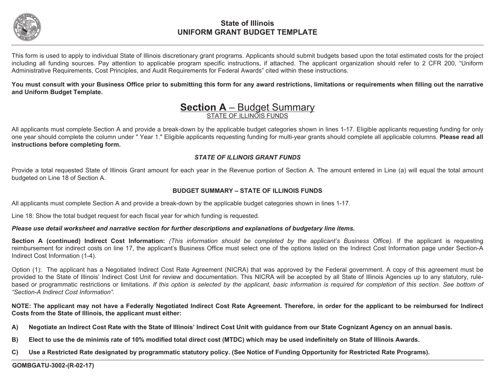

This form is used to apply to individual State of Illinois discretionary grant programs. Applicants should submit budgets based upon the total estimated costs for the project including all funding sources. Pay attention to applicable program specific instructions, if attached. The applicant organization should refer to 2 CFR 200, "Uniform Administrative Requirements, Cost Principles, and Audit Requirements for Federal Awards" cited within these instructions.

**You must consult with your Business Office prior to submitting this form for any award restrictions, limitations or requirements when filling out the narrative and Uniform Budget Template.** 

### **Section A** – Budget Summary STATE OF ILLINOIS FUNDS

All applicants must complete Section A and provide a break-down by the applicable budget categories shown in lines 1-17. Eligible applicants requesting funding for only one year should complete the column under " Year 1." Eligible applicants requesting funding for multi-year grants should complete all applicable columns. **Please read all instructions before completing form.** 

### *STATE OF ILLINOIS GRANT FUNDS*

Provide a total requested State of Illinois Grant amount for each year in the Revenue portion of Section A. The amount entered in Line (a) will equal the total amount budgeted on Line 18 of Section A.

#### **BUDGET SUMMARY – STATE OF ILLINOIS FUNDS**

All applicants must complete Section A and provide a break-down by the applicable budget categories shown in lines 1-17.

Line 18: Show the total budget request for each fiscal year for which funding is requested.

*Please use detail worksheet and narrative section for further descriptions and explanations of budgetary line items.* 

**Section A (continued) Indirect Cost Information:** *(This information should be completed by the applicant's Business Office).* If the applicant is requesting reimbursement for indirect costs on line 17, the applicant's Business Office must select one of the options listed on the Indirect Cost Information page under Section-A Indirect Cost Information (1-4).

Option (1): The applicant has a Negotiated Indirect Cost Rate Agreement (NICRA) that was approved by the Federal government. A copy of this agreement must be provided to the State of Illinois' Indirect Cost Unit for review and documentation. This NICRA will be accepted by all State of Illinois Agencies up to any statutory, rulebased or programmatic restrictions or limitations. *If this option is selected by the applicant, basic information is required for completion of this section. See bottom of "Section-A Indirect Cost Information".* 

**NOTE: The applicant may not have a Federally Negotiated Indirect Cost Rate Agreement. Therefore, in order for the applicant to be reimbursed for Indirect Costs from the State of Illinois, the applicant must either:** 

- **A) Negotiate an Indirect Cost Rate with the State of Illinois' Indirect Cost Unit with guidance from our State Cognizant Agency on an annual basis.**
- **B) Elect to use the de minimis rate of 10% modified total direct cost (MTDC) which may be used indefinitely on State of Illinois Awards.**
- **C) Use a Restricted Rate designated by programmatic statutory policy. (See Notice of Funding Opportunity for Restricted Rate Programs).**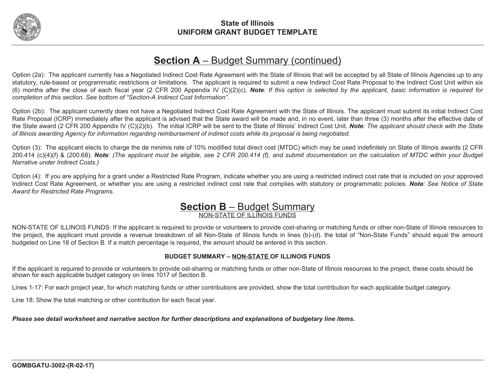

# **Section A** – Budget Summary (continued)

Option (2a): The applicant currently has a Negotiated Indirect Cost Rate Agreement with the State of Illinois that will be accepted by all State of Illinois Agencies up to any statutory, rule-based or programmatic restrictions or limitations. The applicant is required to submit a new Indirect Cost Rate Proposal to the Indirect Cost Unit within six (6) months after the close of each fiscal year (2 CFR 200 Appendix IV (C)(2)(c). *Note: If this option is selected by the applicant, basic information is required for completion of this section. See bottom of "Section-A Indirect Cost Information".* 

Option (2b): The applicant currently does not have a Negotiated Indirect Cost Rate Agreement with the State of Illinois. The applicant must submit its initial Indirect Cost Rate Proposal (ICRP) immediately after the applicant is advised that the State award will be made and, in no event, later than three (3) months after the effective date of the State award (2 CFR 200 Appendix IV (C)(2)(b). The initial ICRP will be sent to the State of Illinois' Indirect Cost Unit. *Note: The applicant should check with the State of Illinois awarding Agency for information regarding reimbursement of indirect costs while its proposal is being negotiated.* 

Option (3): The applicant elects to charge the de minimis rate of 10% modified total direct cost (MTDC) which may be used indefinitely on State of Illinois awards (2 CFR 200.414 (c)(4)(f) & (200.68). *Note: (The applicant must be eligible, see 2 CFR 200.414 (f), and submit documentation on the calculation of MTDC within your Budget Narrative under Indirect Costs.)* 

Option (4): If you are applying for a grant under a Restricted Rate Program, indicate whether you are using a restricted indirect cost rate that is included on your approved Indirect Cost Rate Agreement, or whether you are using a restricted indirect cost rate that complies with statutory or programmatic policies. *Note: See Notice of State Award for Restricted Rate Programs.* 

### **Section B** – Budget Summary NON-STATE OF ILLINOIS FUNDS

NON-STATE OF ILLINOIS FUNDS: If the applicant is required to provide or volunteers to provide cost-sharing or matching funds or other non-State of Illinois resources to the project, the applicant must provide a revenue breakdown of all Non-State of Illinois funds in lines (b)-(d). the total of "Non-State Funds" should equal the amount budgeted on Line 18 of Section B. If a match percentage is required, the amount should be entered in this section.

#### **BUDGET SUMMARY – NON-STATE OF ILLINOIS FUNDS**

If the applicant is required to provide or volunteers to provide ost-sharing or matching funds or other non-State of Illinois resources to the project, these costs should be shown for each applicable budget category on lines 1017 of Section B.

Lines 1-17: For each project year, for which matching funds or other contributions are provided, show the total contribution for each applicable budget category.

Line 18: Show the total matching or other contribution for each fiscal year.

*Please see detail worksheet and narrative section for further descriptions and explanations of budgetary line items.*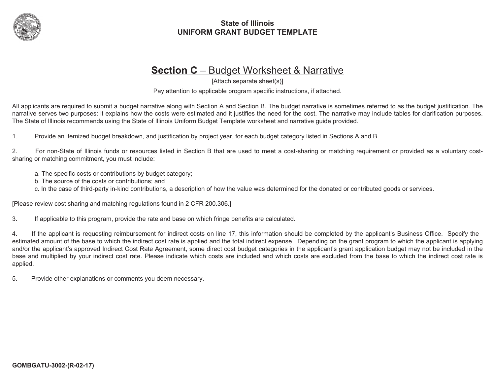

# **Section C** – Budget Worksheet & Narrative

[Attach separate sheet(s)]

Pay attention to applicable program specific instructions, if attached.

All applicants are required to submit a budget narrative along with Section A and Section B. The budget narrative is sometimes referred to as the budget justification. The narrative serves two purposes: it explains how the costs were estimated and it justifies the need for the cost. The narrative may include tables for clarification purposes. The State of Illinois recommends using the State of Illinois Uniform Budget Template worksheet and narrative guide provided.

1. Provide an itemized budget breakdown, and justification by project year, for each budget category listed in Sections A and B.

2. For non-State of Illinois funds or resources listed in Section B that are used to meet a cost-sharing or matching requirement or provided as a voluntary costsharing or matching commitment, you must include:

a. The specific costs or contributions by budget category;

b. The source of the costs or contributions; and

c. In the case of third-party in-kind contributions, a description of how the value was determined for the donated or contributed goods or services.

[Please review cost sharing and matching regulations found in 2 CFR 200.306.]

3. If applicable to this program, provide the rate and base on which fringe benefits are calculated.

4. If the applicant is requesting reimbursement for indirect costs on line 17, this information should be completed by the applicant's Business Office. Specify the estimated amount of the base to which the indirect cost rate is applied and the total indirect expense. Depending on the grant program to which the applicant is applying and/or the applicant's approved Indirect Cost Rate Agreement, some direct cost budget categories in the applicant's grant application budget may not be included in the base and multiplied by your indirect cost rate. Please indicate which costs are included and which costs are excluded from the base to which the indirect cost rate is applied.

5. Provide other explanations or comments you deem necessary.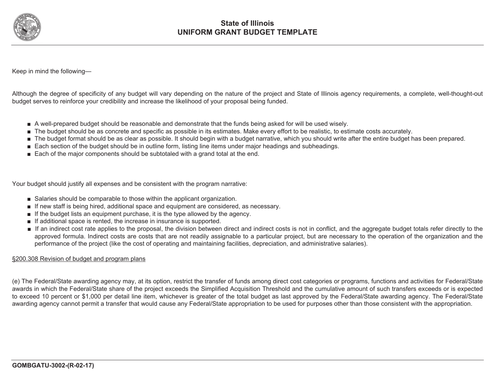

Keep in mind the following—

Although the degree of specificity of any budget will vary depending on the nature of the project and State of Illinois agency requirements, a complete, well-thought-out budget serves to reinforce your credibility and increase the likelihood of your proposal being funded.

- A well-prepared budget should be reasonable and demonstrate that the funds being asked for will be used wisely.
- The budget should be as concrete and specific as possible in its estimates. Make every effort to be realistic, to estimate costs accurately.
- The budget format should be as clear as possible. It should begin with a budget narrative, which you should write after the entire budget has been prepared.
- Each section of the budget should be in outline form, listing line items under major headings and subheadings.
- Each of the major components should be subtotaled with a grand total at the end.

Your budget should justify all expenses and be consistent with the program narrative:

- Salaries should be comparable to those within the applicant organization.
- If new staff is being hired, additional space and equipment are considered, as necessary.
- If the budget lists an equipment purchase, it is the type allowed by the agency.
- If additional space is rented, the increase in insurance is supported.
- If an indirect cost rate applies to the proposal, the division between direct and indirect costs is not in conflict, and the aggregate budget totals refer directly to the approved formula. Indirect costs are costs that are not readily assignable to a particular project, but are necessary to the operation of the organization and the performance of the project (like the cost of operating and maintaining facilities, depreciation, and administrative salaries).

#### §200.308 Revision of budget and program plans

(e) The Federal/State awarding agency may, at its option, restrict the transfer of funds among direct cost categories or programs, functions and activities for Federal/State awards in which the Federal/State share of the project exceeds the Simplified Acquisition Threshold and the cumulative amount of such transfers exceeds or is expected to exceed 10 percent or \$1,000 per detail line item, whichever is greater of the total budget as last approved by the Federal/State awarding agency. The Federal/State awarding agency cannot permit a transfer that would cause any Federal/State appropriation to be used for purposes other than those consistent with the appropriation.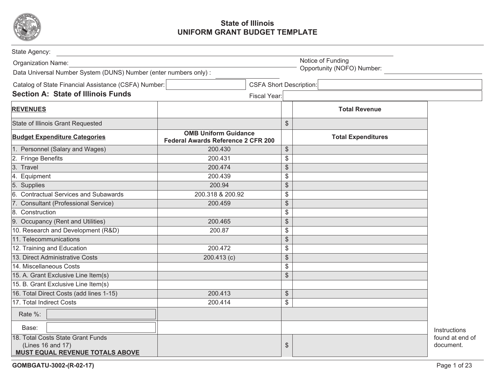

| State Agency:                                                                             |                                                                   |                                |                                              |                            |                              |
|-------------------------------------------------------------------------------------------|-------------------------------------------------------------------|--------------------------------|----------------------------------------------|----------------------------|------------------------------|
| Organization Name:                                                                        | Notice of Funding                                                 |                                |                                              |                            |                              |
| Data Universal Number System (DUNS) Number (enter numbers only) :                         |                                                                   |                                |                                              | Opportunity (NOFO) Number: |                              |
| Catalog of State Financial Assistance (CSFA) Number:                                      |                                                                   | <b>CSFA Short Description:</b> |                                              |                            |                              |
| <b>Section A: State of Illinois Funds</b>                                                 |                                                                   | Fiscal Year:                   |                                              |                            |                              |
| <b>REVENUES</b>                                                                           |                                                                   |                                |                                              | <b>Total Revenue</b>       |                              |
| State of Illinois Grant Requested                                                         |                                                                   |                                | $\frac{1}{2}$                                |                            |                              |
| <b>Budget Expenditure Categories</b>                                                      | <b>OMB Uniform Guidance</b><br>Federal Awards Reference 2 CFR 200 |                                |                                              | <b>Total Expenditures</b>  |                              |
| 1. Personnel (Salary and Wages)                                                           | 200.430                                                           |                                | $\, \, \raisebox{12pt}{$\scriptstyle\circ$}$ |                            |                              |
| 2. Fringe Benefits                                                                        | 200.431                                                           |                                | $\$\$                                        |                            |                              |
| 3. Travel                                                                                 | 200.474                                                           |                                | $\frac{1}{2}$                                |                            |                              |
| 4. Equipment                                                                              | 200.439                                                           |                                | \$                                           |                            |                              |
| 5. Supplies                                                                               | 200.94                                                            |                                | $\frac{1}{2}$                                |                            |                              |
| 6. Contractual Services and Subawards                                                     | 200.318 & 200.92                                                  |                                | $\$\$                                        |                            |                              |
| 7. Consultant (Professional Service)                                                      | 200.459                                                           |                                | $\frac{1}{2}$                                |                            |                              |
| 8. Construction                                                                           |                                                                   |                                | $\$\$                                        |                            |                              |
| 9. Occupancy (Rent and Utilities)                                                         | 200.465                                                           |                                | $\frac{1}{2}$                                |                            |                              |
| 10. Research and Development (R&D)                                                        | 200.87                                                            |                                | \$                                           |                            |                              |
| 11. Telecommunications                                                                    |                                                                   |                                | $\frac{1}{2}$                                |                            |                              |
| 12. Training and Education                                                                | 200.472                                                           |                                | $\$\$                                        |                            |                              |
| 13. Direct Administrative Costs                                                           | 200.413(c)                                                        |                                | $\, \, \raisebox{12pt}{$\scriptstyle \$}$    |                            |                              |
| 14. Miscellaneous Costs                                                                   |                                                                   |                                | $\$\$                                        |                            |                              |
| 15. A. Grant Exclusive Line Item(s)                                                       |                                                                   |                                | $\frac{1}{2}$                                |                            |                              |
| 15. B. Grant Exclusive Line Item(s)                                                       |                                                                   |                                |                                              |                            |                              |
| 16. Total Direct Costs (add lines 1-15)                                                   | 200.413                                                           |                                | $\, \, \raisebox{12pt}{$\scriptstyle \$}$    |                            |                              |
| 17. Total Indirect Costs                                                                  | 200.414                                                           |                                | \$                                           |                            |                              |
| Rate %:                                                                                   |                                                                   |                                |                                              |                            |                              |
| Base:                                                                                     |                                                                   |                                |                                              |                            | Instructions                 |
| 18. Total Costs State Grant Funds<br>(Lines 16 and 17)<br>MUST EQUAL REVENUE TOTALS ABOVE |                                                                   |                                | $\frac{1}{2}$                                |                            | found at end of<br>document. |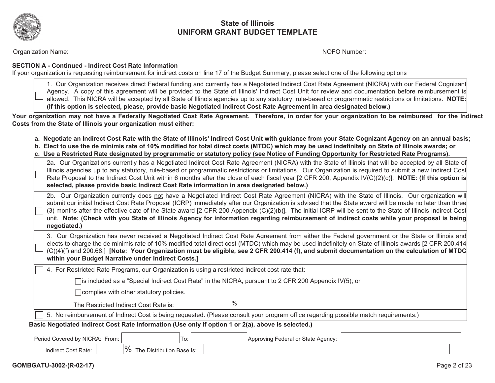

Organization Name: Note and the set of the set of the set of the set of the set of the set of the set of the set of the set of the set of the set of the set of the set of the set of the set of the set of the set of the set

#### **SECTION A - Continued - Indirect Cost Rate Information**

If your organization is requesting reimbursement for indirect costs on line 17 of the Budget Summary, please select one of the following options

1. Our Organization receives direct Federal funding and currently has a Negotiated Indirect Cost Rate Agreement (NICRA) with our Federal Cognizant Agency. A copy of this agreement will be provided to the State of Illinois' Indirect Cost Unit for review and documentation before reimbursement is allowed. This NICRA will be accepted by all State of Illinois agencies up to any statutory, rule-based or programmatic restrictions or limitations. **NOTE: (If this option is selected, please, provide basic Negotiated Indirect Cost Rate Agreement in area designated below.)**

**Your organization may not have a Federally Negotiated Cost Rate Agreement. Therefore, in order for your organization to be reimbursed for the Indirect Costs from the State of Illinois your organization must either:** 

- **a. Negotiate an Indirect Cost Rate with the State of Illinois' Indirect Cost Unit with guidance from your State Cognizant Agency on an annual basis;**
- **b. Elect to use the de minimis rate of 10% modified for total direct costs (MTDC) which may be used indefinitely on State of Illinois awards; or**
- **c. Use a Restricted Rate designated by programmatic or statutory policy (see Notice of Funding Opportunity for Restricted Rate Programs).**

| 2a. Our Organizations currently has a Negotiated Indirect Cost Rate Agreement (NICRA) with the State of Illinois that will be accepted by all State of<br>Illinois agencies up to any statutory, rule-based or programmatic restrictions or limitations. Our Organization is required to submit a new Indirect Cost<br>Rate Proposal to the Indirect Cost Unit within 6 months after the close of each fiscal year [2 CFR 200, Appendix IV(C)(2)(c)]. NOTE: (If this option is<br>selected, please provide basic Indirect Cost Rate information in area designated below.)                                                                  |  |  |  |  |  |  |  |
|---------------------------------------------------------------------------------------------------------------------------------------------------------------------------------------------------------------------------------------------------------------------------------------------------------------------------------------------------------------------------------------------------------------------------------------------------------------------------------------------------------------------------------------------------------------------------------------------------------------------------------------------|--|--|--|--|--|--|--|
| 2b. Our Organization currently does not have a Negotiated Indirect Cost Rate Agreement (NICRA) with the State of Illinois. Our organization will<br>submit our initial Indirect Cost Rate Proposal (ICRP) immediately after our Organization is advised that the State award will be made no later than three<br>(3) months after the effective date of the State award [2 CFR 200 Appendix (C)(2)(b)]. The initial ICRP will be sent to the State of Illinois Indirect Cost<br>unit. Note: (Check with you State of Illinois Agency for information regarding reimbursement of indirect costs while your proposal is being<br>negotiated.) |  |  |  |  |  |  |  |
| 3. Our Organization has never received a Negotiated Indirect Cost Rate Agreement from either the Federal government or the State or Illinois and<br>elects to charge the de minimis rate of 10% modified total direct cost (MTDC) which may be used indefinitely on State of Illinois awards [2 CFR 200.414]<br>(C)(4)(f) and 200.68.] [Note: Your Organization must be eligible, see 2 CFR 200.414 (f), and submit documentation on the calculation of MTDC<br>within your Budget Narrative under Indirect Costs.]                                                                                                                         |  |  |  |  |  |  |  |
| 4. For Restricted Rate Programs, our Organization is using a restricted indirect cost rate that:                                                                                                                                                                                                                                                                                                                                                                                                                                                                                                                                            |  |  |  |  |  |  |  |
| $\Box$ is included as a "Special Indirect Cost Rate" in the NICRA, pursuant to 2 CFR 200 Appendix IV(5); or                                                                                                                                                                                                                                                                                                                                                                                                                                                                                                                                 |  |  |  |  |  |  |  |
| $\Box$ complies with other statutory policies.                                                                                                                                                                                                                                                                                                                                                                                                                                                                                                                                                                                              |  |  |  |  |  |  |  |
| $\%$<br>The Restricted Indirect Cost Rate is:                                                                                                                                                                                                                                                                                                                                                                                                                                                                                                                                                                                               |  |  |  |  |  |  |  |
| 5. No reimbursement of Indirect Cost is being requested. (Please consult your program office regarding possible match requirements.)                                                                                                                                                                                                                                                                                                                                                                                                                                                                                                        |  |  |  |  |  |  |  |
| Basic Negotiated Indirect Cost Rate Information (Use only if option 1 or 2(a), above is selected.)                                                                                                                                                                                                                                                                                                                                                                                                                                                                                                                                          |  |  |  |  |  |  |  |
| Period Covered by NICRA: From:<br>To:<br>Approving Federal or State Agency:                                                                                                                                                                                                                                                                                                                                                                                                                                                                                                                                                                 |  |  |  |  |  |  |  |
| % The Distribution Base Is:<br>Indirect Cost Rate:                                                                                                                                                                                                                                                                                                                                                                                                                                                                                                                                                                                          |  |  |  |  |  |  |  |
|                                                                                                                                                                                                                                                                                                                                                                                                                                                                                                                                                                                                                                             |  |  |  |  |  |  |  |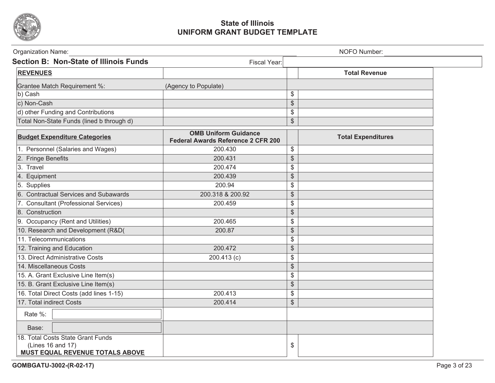

| Organization Name:                                                                               | NOFO Number:                                                             |                                               |                           |  |  |  |
|--------------------------------------------------------------------------------------------------|--------------------------------------------------------------------------|-----------------------------------------------|---------------------------|--|--|--|
| <b>Section B: Non-State of Illinois Funds</b>                                                    | Fiscal Year:                                                             |                                               |                           |  |  |  |
| <b>REVENUES</b>                                                                                  |                                                                          |                                               | <b>Total Revenue</b>      |  |  |  |
| Grantee Match Requirement %:                                                                     | (Agency to Populate)                                                     |                                               |                           |  |  |  |
| b) Cash                                                                                          |                                                                          | $\mathcal{L}$                                 |                           |  |  |  |
| c) Non-Cash                                                                                      |                                                                          | \$                                            |                           |  |  |  |
| d) other Funding and Contributions                                                               |                                                                          | \$                                            |                           |  |  |  |
| Total Non-State Funds (lined b through d)                                                        |                                                                          | $\, \, \raisebox{12pt}{$\scriptstyle \circ$}$ |                           |  |  |  |
| <b>Budget Expenditure Categories</b>                                                             | <b>OMB Uniform Guidance</b><br><b>Federal Awards Reference 2 CFR 200</b> |                                               | <b>Total Expenditures</b> |  |  |  |
| 1. Personnel (Salaries and Wages)                                                                | 200.430                                                                  | $\$\$                                         |                           |  |  |  |
| 2. Fringe Benefits                                                                               | 200.431                                                                  | $\frac{1}{2}$                                 |                           |  |  |  |
| 3. Travel                                                                                        | 200.474                                                                  | \$                                            |                           |  |  |  |
| 4. Equipment                                                                                     | 200.439                                                                  | $\, \, \raisebox{12pt}{$\scriptstyle \circ$}$ |                           |  |  |  |
| 5. Supplies                                                                                      | 200.94                                                                   | \$                                            |                           |  |  |  |
| 6. Contractual Services and Subawards                                                            | 200.318 & 200.92                                                         | $\, \, \raisebox{12pt}{$\scriptstyle \$}$     |                           |  |  |  |
| 7. Consultant (Professional Services)                                                            | 200.459                                                                  | \$                                            |                           |  |  |  |
| 8. Construction                                                                                  |                                                                          | $\frac{1}{2}$                                 |                           |  |  |  |
| 9. Occupancy (Rent and Utilities)                                                                | 200.465                                                                  | \$                                            |                           |  |  |  |
| 10. Research and Development (R&D(                                                               | 200.87                                                                   | \$                                            |                           |  |  |  |
| 11. Telecommunications                                                                           |                                                                          | $\mathcal{L}$                                 |                           |  |  |  |
| 12. Training and Education                                                                       | 200.472                                                                  | $\, \, \raisebox{12pt}{$\scriptstyle \$}$     |                           |  |  |  |
| 13. Direct Administrative Costs                                                                  | 200.413 (c)                                                              | \$                                            |                           |  |  |  |
| 14. Miscellaneous Costs                                                                          |                                                                          | $\frac{1}{2}$                                 |                           |  |  |  |
| 15. A. Grant Exclusive Line Item(s)                                                              |                                                                          | \$                                            |                           |  |  |  |
| 15. B. Grant Exclusive Line Item(s)                                                              |                                                                          | $\, \, \raisebox{12pt}{$\scriptstyle\circ$}$  |                           |  |  |  |
| 16. Total Direct Costs (add lines 1-15)                                                          | 200.413                                                                  | \$                                            |                           |  |  |  |
| 17. Total indirect Costs                                                                         | 200.414                                                                  | \$                                            |                           |  |  |  |
| Rate %:                                                                                          |                                                                          |                                               |                           |  |  |  |
| Base:                                                                                            |                                                                          |                                               |                           |  |  |  |
| 18. Total Costs State Grant Funds<br>(Lines 16 and 17)<br><b>MUST EQUAL REVENUE TOTALS ABOVE</b> |                                                                          | \$                                            |                           |  |  |  |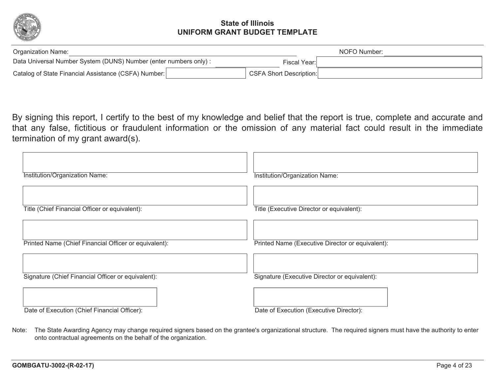

| Organization Name:                                               | NOFO Number: |                                |  |  |
|------------------------------------------------------------------|--------------|--------------------------------|--|--|
| Data Universal Number System (DUNS) Number (enter numbers only): | Fiscal Year: |                                |  |  |
| Catalog of State Financial Assistance (CSFA) Number:             |              | <b>CSFA Short Description:</b> |  |  |

By signing this report, I certify to the best of my knowledge and belief that the report is true, complete and accurate and that any false, fictitious or fraudulent information or the omission of any material fact could result in the immediate termination of my grant award(s).

| Institution/Organization Name:                        | Institution/Organization Name:                   |
|-------------------------------------------------------|--------------------------------------------------|
| Title (Chief Financial Officer or equivalent):        | Title (Executive Director or equivalent):        |
| Printed Name (Chief Financial Officer or equivalent): | Printed Name (Executive Director or equivalent): |
| Signature (Chief Financial Officer or equivalent):    | Signature (Executive Director or equivalent):    |
| Date of Execution (Chief Financial Officer):          | Date of Execution (Executive Director):          |

Note: The State Awarding Agency may change required signers based on the grantee's organizational structure. The required signers must have the authority to enter onto contractual agreements on the behalf of the organization.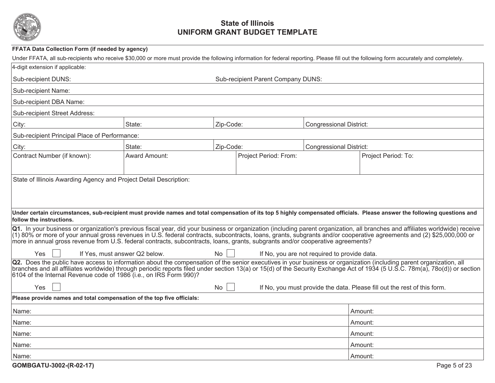

| <b>FFATA Data Collection Form (if needed by agency)</b>                                                                         |                               |           |                                    |                                              |                                                                                                                                                                                                                                                                                                                                                        |
|---------------------------------------------------------------------------------------------------------------------------------|-------------------------------|-----------|------------------------------------|----------------------------------------------|--------------------------------------------------------------------------------------------------------------------------------------------------------------------------------------------------------------------------------------------------------------------------------------------------------------------------------------------------------|
|                                                                                                                                 |                               |           |                                    |                                              | Under FFATA, all sub-recipients who receive \$30,000 or more must provide the following information for federal reporting. Please fill out the following form accurately and completely.                                                                                                                                                               |
| 4-digit extension if applicable:                                                                                                |                               |           |                                    |                                              |                                                                                                                                                                                                                                                                                                                                                        |
| Sub-recipient DUNS:                                                                                                             |                               |           | Sub-recipient Parent Company DUNS: |                                              |                                                                                                                                                                                                                                                                                                                                                        |
| <b>Sub-recipient Name:</b>                                                                                                      |                               |           |                                    |                                              |                                                                                                                                                                                                                                                                                                                                                        |
| Sub-recipient DBA Name:                                                                                                         |                               |           |                                    |                                              |                                                                                                                                                                                                                                                                                                                                                        |
| <b>Sub-recipient Street Address:</b>                                                                                            |                               |           |                                    |                                              |                                                                                                                                                                                                                                                                                                                                                        |
| City:                                                                                                                           | State:                        | Zip-Code: |                                    | <b>Congressional District:</b>               |                                                                                                                                                                                                                                                                                                                                                        |
| Sub-recipient Principal Place of Performance:                                                                                   |                               |           |                                    |                                              |                                                                                                                                                                                                                                                                                                                                                        |
| City:                                                                                                                           | State:                        | Zip-Code: |                                    | <b>Congressional District:</b>               |                                                                                                                                                                                                                                                                                                                                                        |
| Contract Number (if known):                                                                                                     | <b>Award Amount:</b>          |           | Project Period: From:              |                                              | Project Period: To:                                                                                                                                                                                                                                                                                                                                    |
|                                                                                                                                 |                               |           |                                    |                                              |                                                                                                                                                                                                                                                                                                                                                        |
| State of Illinois Awarding Agency and Project Detail Description:                                                               |                               |           |                                    |                                              |                                                                                                                                                                                                                                                                                                                                                        |
|                                                                                                                                 |                               |           |                                    |                                              |                                                                                                                                                                                                                                                                                                                                                        |
|                                                                                                                                 |                               |           |                                    |                                              |                                                                                                                                                                                                                                                                                                                                                        |
|                                                                                                                                 |                               |           |                                    |                                              | Under certain circumstances, sub-recipient must provide names and total compensation of its top 5 highly compensated officials. Please answer the following questions and                                                                                                                                                                              |
| follow the instructions.                                                                                                        |                               |           |                                    |                                              |                                                                                                                                                                                                                                                                                                                                                        |
|                                                                                                                                 |                               |           |                                    |                                              | Q1. In your business or organization's previous fiscal year, did your business or organization (including parent organization, all branches and affiliates worldwide) receive<br>(1) 80% or more of your annual gross revenues in U.S. federal contracts, subcontracts, loans, grants, subgrants and/or cooperative agreements and (2) \$25,000,000 or |
| more in annual gross revenue from U.S. federal contracts, subcontracts, loans, grants, subgrants and/or cooperative agreements? |                               |           |                                    |                                              |                                                                                                                                                                                                                                                                                                                                                        |
| Yes                                                                                                                             | If Yes, must answer Q2 below. | No.       |                                    | If No, you are not required to provide data. |                                                                                                                                                                                                                                                                                                                                                        |
|                                                                                                                                 |                               |           |                                    |                                              | Q2. Does the public have access to information about the compensation of the senior executives in your business or organization (including parent organization, all                                                                                                                                                                                    |
| 6104 of the Internal Revenue code of 1986 (i.e., on IRS Form 990)?                                                              |                               |           |                                    |                                              | branches and all affiliates worldwide) through periodic reports filed under section 13(a) or 15(d) of the Security Exchange Act of 1934 (5 U.S.C. 78m(a), 78o(d)) or section                                                                                                                                                                           |
| Yes                                                                                                                             |                               | No        |                                    |                                              | If No, you must provide the data. Please fill out the rest of this form.                                                                                                                                                                                                                                                                               |
| Please provide names and total compensation of the top five officials:                                                          |                               |           |                                    |                                              |                                                                                                                                                                                                                                                                                                                                                        |
| Name:                                                                                                                           |                               |           |                                    |                                              | Amount:                                                                                                                                                                                                                                                                                                                                                |
| Name:                                                                                                                           |                               |           |                                    |                                              | Amount:                                                                                                                                                                                                                                                                                                                                                |
| Name:                                                                                                                           |                               |           |                                    |                                              | Amount:                                                                                                                                                                                                                                                                                                                                                |
| Name:                                                                                                                           |                               |           |                                    |                                              | Amount:                                                                                                                                                                                                                                                                                                                                                |
| Name:                                                                                                                           |                               |           |                                    |                                              | Amount:                                                                                                                                                                                                                                                                                                                                                |
| GOMBGATU-3002-(R-02-17)                                                                                                         |                               |           |                                    |                                              | Page 5 of 23                                                                                                                                                                                                                                                                                                                                           |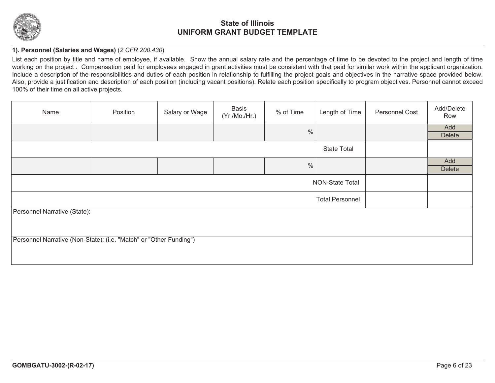

### **1). Personnel (Salaries and Wages)** (*2 CFR 200.430*)

List each position by title and name of employee, if available. Show the annual salary rate and the percentage of time to be devoted to the project and length of time working on the project. Compensation paid for employees engaged in grant activities must be consistent with that paid for similar work within the applicant organization. Include a description of the responsibilities and duties of each position in relationship to fulfilling the project goals and objectives in the narrative space provided below. Also, provide a justification and description of each position (including vacant positions). Relate each position specifically to program objectives. Personnel cannot exceed 100% of their time on all active projects.

| Name                                                               | Position | Salary or Wage | <b>Basis</b><br>(Yr./Mo./Hr.) | % of Time     | Length of Time         | <b>Personnel Cost</b> | Add/Delete<br>Row    |  |
|--------------------------------------------------------------------|----------|----------------|-------------------------------|---------------|------------------------|-----------------------|----------------------|--|
|                                                                    |          |                |                               | $\frac{0}{0}$ |                        |                       | Add<br><b>Delete</b> |  |
| <b>State Total</b>                                                 |          |                |                               |               |                        |                       |                      |  |
|                                                                    |          |                |                               | $\frac{0}{0}$ |                        |                       | Add<br><b>Delete</b> |  |
|                                                                    |          |                |                               |               | NON-State Total        |                       |                      |  |
|                                                                    |          |                |                               |               | <b>Total Personnel</b> |                       |                      |  |
| Personnel Narrative (State):                                       |          |                |                               |               |                        |                       |                      |  |
|                                                                    |          |                |                               |               |                        |                       |                      |  |
| Personnel Narrative (Non-State): (i.e. "Match" or "Other Funding") |          |                |                               |               |                        |                       |                      |  |
|                                                                    |          |                |                               |               |                        |                       |                      |  |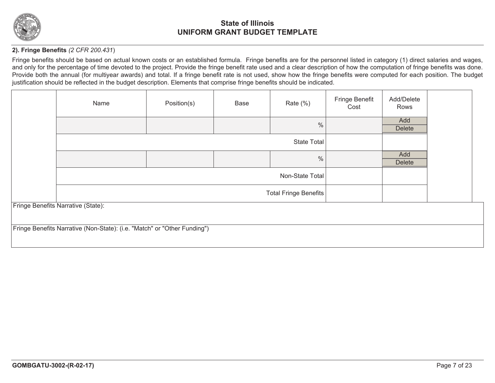

### **2). Fringe Benefits** *(2 CFR 200.431*)

Fringe benefits should be based on actual known costs or an established formula. Fringe benefits are for the personnel listed in category (1) direct salaries and wages, and only for the percentage of time devoted to the project. Provide the fringe benefit rate used and a clear description of how the computation of fringe benefits was done. Provide both the annual (for multiyear awards) and total. If a fringe benefit rate is not used, show how the fringe benefits were computed for each position. The budget justification should be reflected in the budget description. Elements that comprise fringe benefits should be indicated.

| Name                                                                     | Position(s) | Base | Rate $(\%)$        | Fringe Benefit<br>Cost | Add/Delete<br>Rows   |  |
|--------------------------------------------------------------------------|-------------|------|--------------------|------------------------|----------------------|--|
|                                                                          |             |      | $\%$               |                        | Add<br><b>Delete</b> |  |
|                                                                          |             |      | <b>State Total</b> |                        |                      |  |
|                                                                          |             |      | $\%$               |                        | Add<br><b>Delete</b> |  |
| Non-State Total                                                          |             |      |                    |                        |                      |  |
|                                                                          |             |      |                    |                        |                      |  |
| Fringe Benefits Narrative (State):                                       |             |      |                    |                        |                      |  |
| Fringe Benefits Narrative (Non-State): (i.e. "Match" or "Other Funding") |             |      |                    |                        |                      |  |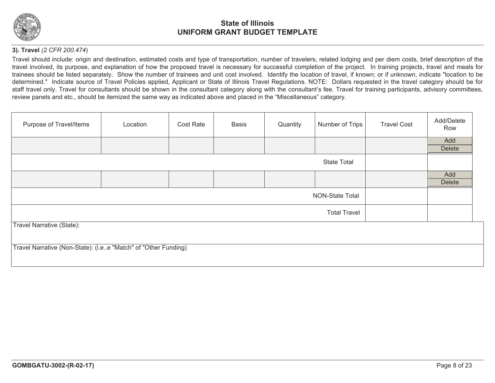

### **3). Travel** *(2 CFR 200.474*)

Travel should include: origin and destination, estimated costs and type of transportation, number of travelers, related lodging and per diem costs, brief description of the travel involved, its purpose, and explanation of how the proposed travel is necessary for successful completion of the project. In training projects, travel and meals for trainees should be listed separately. Show the number of trainees and unit cost involved. Identify the location of travel, if known; or if unknown, indicate "location to be determined." Indicate source of Travel Policies applied, Applicant or State of Illinois Travel Regulations. NOTE: Dollars requested in the travel category should be for staff travel only. Travel for consultants should be shown in the consultant category along with the consultant's fee. Travel for training participants, advisory committees, review panels and etc., should be itemized the same way as indicated above and placed in the "Miscellaneous" category.

| Purpose of Travel/Items                                        | Location               | Cost Rate | <b>Basis</b> | Quantity | Number of Trips    | <b>Travel Cost</b> | Add/Delete<br>Row |  |  |
|----------------------------------------------------------------|------------------------|-----------|--------------|----------|--------------------|--------------------|-------------------|--|--|
|                                                                |                        |           |              |          |                    |                    | Add               |  |  |
|                                                                |                        |           |              |          |                    |                    | <b>Delete</b>     |  |  |
|                                                                |                        |           |              |          | <b>State Total</b> |                    |                   |  |  |
|                                                                |                        |           |              |          |                    |                    | Add               |  |  |
|                                                                |                        |           |              |          |                    |                    | <b>Delete</b>     |  |  |
|                                                                | <b>NON-State Total</b> |           |              |          |                    |                    |                   |  |  |
|                                                                | <b>Total Travel</b>    |           |              |          |                    |                    |                   |  |  |
| <b>Travel Narrative (State):</b>                               |                        |           |              |          |                    |                    |                   |  |  |
|                                                                |                        |           |              |          |                    |                    |                   |  |  |
| Travel Narrative (Non-State): (i.ee "Match" of "Other Funding) |                        |           |              |          |                    |                    |                   |  |  |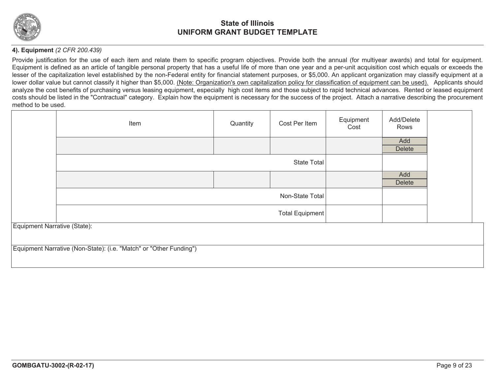

### **4). Equipment** *(2 CFR 200.439)*

Provide justification for the use of each item and relate them to specific program objectives. Provide both the annual (for multiyear awards) and total for equipment. Equipment is defined as an article of tangible personal property that has a useful life of more than one year and a per-unit acquisition cost which equals or exceeds the lesser of the capitalization level established by the non-Federal entity for financial statement purposes, or \$5,000. An applicant organization may classify equipment at a lower dollar value but cannot classify it higher than \$5,000. (Note: Organization's own capitalization policy for classification of equipment can be used). Applicants should analyze the cost benefits of purchasing versus leasing equipment, especially high cost items and those subject to rapid technical advances. Rented or leased equipment costs should be listed in the "Contractual" category. Explain how the equipment is necessary for the success of the project. Attach a narrative describing the procurement method to be used.

|                              | Item                                                               | Quantity        | Cost Per Item      | Equipment<br>Cost | Add/Delete<br>Rows |  |
|------------------------------|--------------------------------------------------------------------|-----------------|--------------------|-------------------|--------------------|--|
|                              |                                                                    |                 |                    |                   | Add                |  |
|                              |                                                                    |                 |                    |                   | Delete             |  |
|                              |                                                                    |                 | <b>State Total</b> |                   |                    |  |
|                              |                                                                    |                 |                    |                   | Add                |  |
|                              |                                                                    |                 |                    |                   | <b>Delete</b>      |  |
|                              |                                                                    |                 | Non-State Total    |                   |                    |  |
|                              |                                                                    | Total Equipment |                    |                   |                    |  |
| Equipment Narrative (State): |                                                                    |                 |                    |                   |                    |  |
|                              | Equipment Narrative (Non-State): (i.e. "Match" or "Other Funding") |                 |                    |                   |                    |  |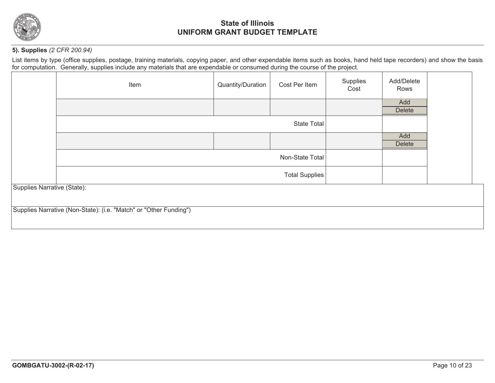

### **5). Supplies** *(2 CFR 200.94)*

List items by type (office supplies, postage, training materials, copying paper, and other expendable items such as books, hand held tape recorders) and show the basis for computation. Generally, supplies include any materials that are expendable or consumed during the course of the project.

|                             | Item                                                              | Quantity/Duration     | Cost Per Item      | Supplies<br>Cost | Add/Delete<br>Rows |  |
|-----------------------------|-------------------------------------------------------------------|-----------------------|--------------------|------------------|--------------------|--|
|                             |                                                                   |                       |                    |                  | Add                |  |
|                             |                                                                   |                       |                    |                  | <b>Delete</b>      |  |
|                             |                                                                   |                       | <b>State Total</b> |                  |                    |  |
|                             |                                                                   |                       |                    |                  | Add                |  |
|                             |                                                                   |                       |                    |                  | <b>Delete</b>      |  |
|                             |                                                                   |                       | Non-State Total    |                  |                    |  |
|                             |                                                                   | <b>Total Supplies</b> |                    |                  |                    |  |
| Supplies Narrative (State): |                                                                   |                       |                    |                  |                    |  |
|                             |                                                                   |                       |                    |                  |                    |  |
|                             | Supplies Narrative (Non-State): (i.e. "Match" or "Other Funding") |                       |                    |                  |                    |  |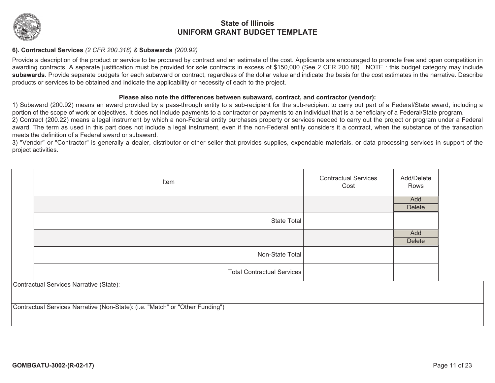

#### **6). Contractual Services** *(2 CFR 200.318) &* **Subawards** *(200.92)*

Provide a description of the product or service to be procured by contract and an estimate of the cost. Applicants are encouraged to promote free and open competition in awarding contracts. A separate justification must be provided for sole contracts in excess of \$150,000 (See 2 CFR 200.88). NOTE : this budget category may include **subawards**. Provide separate budgets for each subaward or contract, regardless of the dollar value and indicate the basis for the cost estimates in the narrative. Describe products or services to be obtained and indicate the applicability or necessity of each to the project.

#### **Please also note the differences between subaward, contract, and contractor (vendor):**

1) Subaward (200.92) means an award provided by a pass-through entity to a sub-recipient for the sub-recipient to carry out part of a Federal/State award, including a portion of the scope of work or objectives. It does not include payments to a contractor or payments to an individual that is a beneficiary of a Federal/State program. 2) Contract (200.22) means a legal instrument by which a non-Federal entity purchases property or services needed to carry out the project or program under a Federal

award. The term as used in this part does not include a legal instrument, even if the non-Federal entity considers it a contract, when the substance of the transaction meets the definition of a Federal award or subaward.

3) "Vendor" or "Contractor" is generally a dealer, distributor or other seller that provides supplies, expendable materials, or data processing services in support of the project activities.

| Item                                                                          | <b>Contractual Services</b><br>Cost | Add/Delete<br>Rows   |  |
|-------------------------------------------------------------------------------|-------------------------------------|----------------------|--|
|                                                                               |                                     | Add<br><b>Delete</b> |  |
| <b>State Total</b>                                                            |                                     |                      |  |
|                                                                               |                                     | Add<br><b>Delete</b> |  |
| Non-State Total                                                               |                                     |                      |  |
| <b>Total Contractual Services</b>                                             |                                     |                      |  |
| Contractual Services Narrative (State):                                       |                                     |                      |  |
| Contractual Services Narrative (Non-State): (i.e. "Match" or "Other Funding") |                                     |                      |  |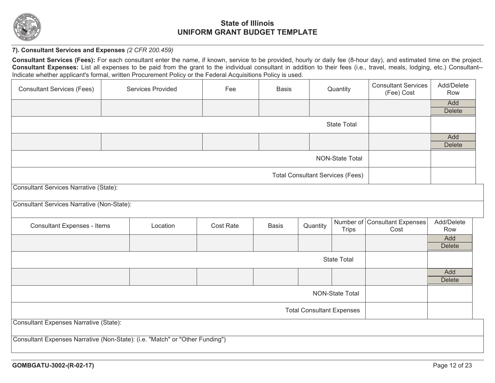

### **7). Consultant Services and Expenses** *(2 CFR 200.459)*

**Consultant Services (Fees):** For each consultant enter the name, if known, service to be provided, hourly or daily fee (8-hour day), and estimated time on the project. **Consultant Expenses:** List all expenses to be paid from the grant to the individual consultant in addition to their fees (i.e., travel, meals, lodging, etc.) Consultant-- Indicate whether applicant's formal, written Procurement Policy or the Federal Acquisitions Policy is used.

| <b>Consultant Services (Fees)</b>                                            |                                                   | <b>Services Provided</b> | Fee              | <b>Basis</b> |                                         | Quantity               | <b>Consultant Services</b><br>(Fee) Cost | Add/Delete<br>Row |  |
|------------------------------------------------------------------------------|---------------------------------------------------|--------------------------|------------------|--------------|-----------------------------------------|------------------------|------------------------------------------|-------------------|--|
|                                                                              |                                                   |                          |                  |              |                                         |                        |                                          | Add               |  |
|                                                                              |                                                   |                          |                  |              |                                         |                        |                                          | <b>Delete</b>     |  |
|                                                                              | <b>State Total</b>                                |                          |                  |              |                                         |                        |                                          |                   |  |
|                                                                              |                                                   |                          |                  |              |                                         |                        |                                          | Add               |  |
|                                                                              |                                                   |                          |                  |              |                                         |                        |                                          | <b>Delete</b>     |  |
| <b>NON-State Total</b>                                                       |                                                   |                          |                  |              |                                         |                        |                                          |                   |  |
|                                                                              |                                                   |                          |                  |              | <b>Total Consultant Services (Fees)</b> |                        |                                          |                   |  |
| <b>Consultant Services Narrative (State):</b>                                |                                                   |                          |                  |              |                                         |                        |                                          |                   |  |
|                                                                              | <b>Consultant Services Narrative (Non-State):</b> |                          |                  |              |                                         |                        |                                          |                   |  |
| <b>Consultant Expenses - Items</b>                                           |                                                   | Location                 | <b>Cost Rate</b> | <b>Basis</b> | Quantity                                | <b>Trips</b>           | Number of Consultant Expenses<br>Cost    | Add/Delete<br>Row |  |
|                                                                              |                                                   |                          |                  |              |                                         |                        |                                          | Add               |  |
|                                                                              |                                                   |                          |                  |              |                                         |                        |                                          | <b>Delete</b>     |  |
|                                                                              |                                                   |                          |                  |              |                                         | <b>State Total</b>     |                                          |                   |  |
|                                                                              |                                                   |                          |                  |              |                                         |                        |                                          | Add               |  |
|                                                                              |                                                   |                          |                  |              |                                         |                        |                                          | <b>Delete</b>     |  |
|                                                                              |                                                   |                          |                  |              |                                         | <b>NON-State Total</b> |                                          |                   |  |
| <b>Total Consultant Expenses</b>                                             |                                                   |                          |                  |              |                                         |                        |                                          |                   |  |
| <b>Consultant Expenses Narrative (State):</b>                                |                                                   |                          |                  |              |                                         |                        |                                          |                   |  |
| Consultant Expenses Narrative (Non-State): (i.e. "Match" or "Other Funding") |                                                   |                          |                  |              |                                         |                        |                                          |                   |  |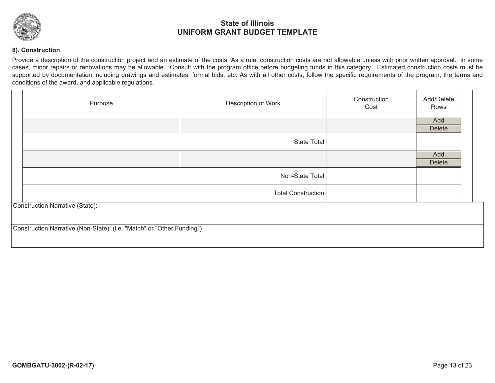

#### **8). Construction**

Provide a description of the construction project and an estimate of the costs. As a rule, construction costs are not allowable unless with prior written approval. In some cases, minor repairs or renovations may be allowable. Consult with the program office before budgeting funds in this category. Estimated construction costs must be supported by documentation including drawings and estimates, formal bids, etc. As with all other costs, follow the specific requirements of the program, the terms and conditions of the award, and applicable regulations.

| Purpose                                                               | Description of Work       | Construction<br>Cost | Add/Delete<br>Rows   |
|-----------------------------------------------------------------------|---------------------------|----------------------|----------------------|
|                                                                       |                           |                      | Add<br><b>Delete</b> |
|                                                                       | State Total               |                      |                      |
|                                                                       |                           |                      | Add<br><b>Delete</b> |
|                                                                       | Non-State Total           |                      |                      |
|                                                                       | <b>Total Construction</b> |                      |                      |
| <b>Construction Narrative (State):</b>                                |                           |                      |                      |
| Construction Narrative (Non-State): (i.e. "Match" or "Other Funding") |                           |                      |                      |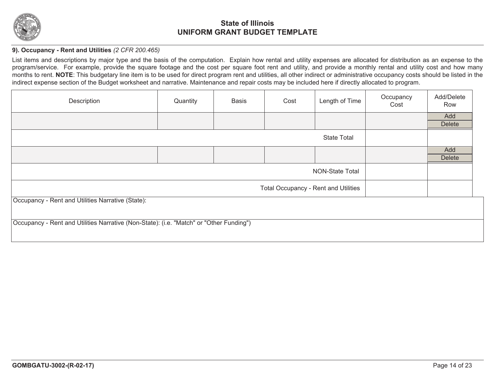

### **9). Occupancy - Rent and Utilities** *(2 CFR 200.465)*

List items and descriptions by major type and the basis of the computation. Explain how rental and utility expenses are allocated for distribution as an expense to the program/service. For example, provide the square footage and the cost per square foot rent and utility, and provide a monthly rental and utility cost and how many months to rent. **NOTE**: This budgetary line item is to be used for direct program rent and utilities, all other indirect or administrative occupancy costs should be listed in the indirect expense section of the Budget worksheet and narrative. Maintenance and repair costs may be included here if directly allocated to program.

| Description                                                                             | Quantity | <b>Basis</b> | Cost                                 | Length of Time         | Occupancy<br>Cost | Add/Delete<br>Row |
|-----------------------------------------------------------------------------------------|----------|--------------|--------------------------------------|------------------------|-------------------|-------------------|
|                                                                                         |          |              |                                      |                        |                   | Add               |
|                                                                                         |          |              |                                      |                        |                   | <b>Delete</b>     |
|                                                                                         |          |              |                                      | <b>State Total</b>     |                   |                   |
|                                                                                         |          |              |                                      |                        |                   | Add               |
|                                                                                         |          |              |                                      |                        |                   | <b>Delete</b>     |
|                                                                                         |          |              |                                      | <b>NON-State Total</b> |                   |                   |
|                                                                                         |          |              | Total Occupancy - Rent and Utilities |                        |                   |                   |
| Occupancy - Rent and Utilities Narrative (State):                                       |          |              |                                      |                        |                   |                   |
|                                                                                         |          |              |                                      |                        |                   |                   |
| Occupancy - Rent and Utilities Narrative (Non-State): (i.e. "Match" or "Other Funding") |          |              |                                      |                        |                   |                   |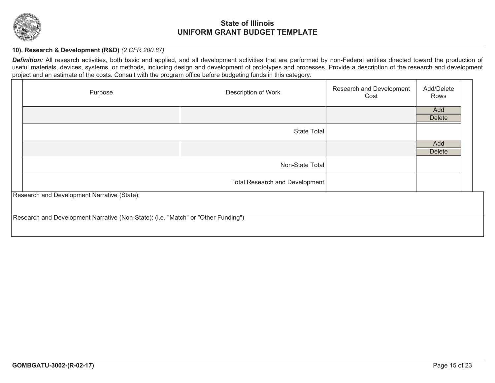

### **10). Research & Development (R&D)** *(2 CFR 200.87)*

Definition: All research activities, both basic and applied, and all development activities that are performed by non-Federal entities directed toward the production of useful materials, devices, systems, or methods, including design and development of prototypes and processes. Provide a description of the research and development project and an estimate of the costs. Consult with the program office before budgeting funds in this category.

| Purpose                                                                           | Description of Work            | Research and Development<br>Cost | Add/Delete<br>Rows |  |
|-----------------------------------------------------------------------------------|--------------------------------|----------------------------------|--------------------|--|
|                                                                                   |                                |                                  | Add                |  |
|                                                                                   |                                |                                  | <b>Delete</b>      |  |
|                                                                                   | <b>State Total</b>             |                                  |                    |  |
|                                                                                   |                                |                                  | Add                |  |
|                                                                                   |                                |                                  | <b>Delete</b>      |  |
|                                                                                   | Non-State Total                |                                  |                    |  |
|                                                                                   | Total Research and Development |                                  |                    |  |
| Research and Development Narrative (State):                                       |                                |                                  |                    |  |
|                                                                                   |                                |                                  |                    |  |
| Research and Development Narrative (Non-State): (i.e. "Match" or "Other Funding") |                                |                                  |                    |  |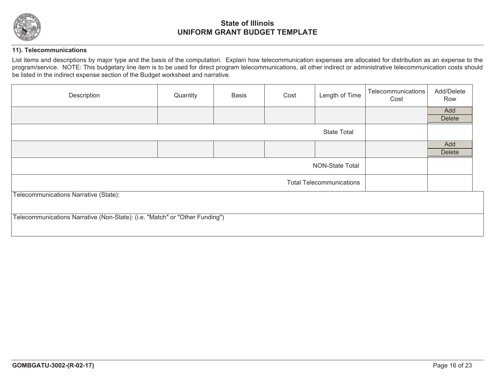

### **11). Telecommunications**

List items and descriptions by major type and the basis of the computation. Explain how telecommunication expenses are allocated for distribution as an expense to the program/service. NOTE: This budgetary line item is to be used for direct program telecommunications, all other indirect or administrative telecommunication costs should be listed in the indirect expense section of the Budget worksheet and narrative.

| Description                                                                 | Quantity | <b>Basis</b> | Cost | Length of Time                  | Telecommunications<br>Cost | Add/Delete<br>Row    |
|-----------------------------------------------------------------------------|----------|--------------|------|---------------------------------|----------------------------|----------------------|
|                                                                             |          |              |      |                                 |                            | Add<br><b>Delete</b> |
|                                                                             |          |              |      | <b>State Total</b>              |                            |                      |
|                                                                             |          |              |      |                                 |                            | Add<br><b>Delete</b> |
|                                                                             |          |              |      | NON-State Total                 |                            |                      |
|                                                                             |          |              |      | <b>Total Telecommunications</b> |                            |                      |
| Telecommunications Narrative (State):                                       |          |              |      |                                 |                            |                      |
| Telecommunications Narrative (Non-State): (i.e. "Match" or "Other Funding") |          |              |      |                                 |                            |                      |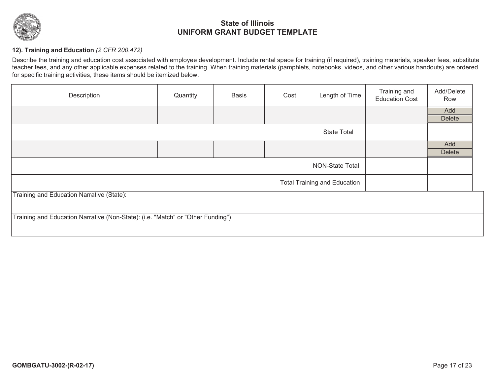

### **12). Training and Education** *(2 CFR 200.472)*

Describe the training and education cost associated with employee development. Include rental space for training (if required), training materials, speaker fees, substitute teacher fees, and any other applicable expenses related to the training. When training materials (pamphlets, notebooks, videos, and other various handouts) are ordered for specific training activities, these items should be itemized below.

| Description                                                                     | Quantity           | <b>Basis</b> | Cost | Length of Time                      | Training and<br><b>Education Cost</b> | Add/Delete<br>Row |
|---------------------------------------------------------------------------------|--------------------|--------------|------|-------------------------------------|---------------------------------------|-------------------|
|                                                                                 |                    |              |      |                                     |                                       | Add               |
|                                                                                 |                    |              |      |                                     |                                       | <b>Delete</b>     |
|                                                                                 | <b>State Total</b> |              |      |                                     |                                       |                   |
|                                                                                 |                    |              |      |                                     |                                       | Add               |
|                                                                                 |                    |              |      |                                     |                                       | <b>Delete</b>     |
|                                                                                 |                    |              |      | <b>NON-State Total</b>              |                                       |                   |
|                                                                                 |                    |              |      | <b>Total Training and Education</b> |                                       |                   |
| Training and Education Narrative (State):                                       |                    |              |      |                                     |                                       |                   |
|                                                                                 |                    |              |      |                                     |                                       |                   |
| Training and Education Narrative (Non-State): (i.e. "Match" or "Other Funding") |                    |              |      |                                     |                                       |                   |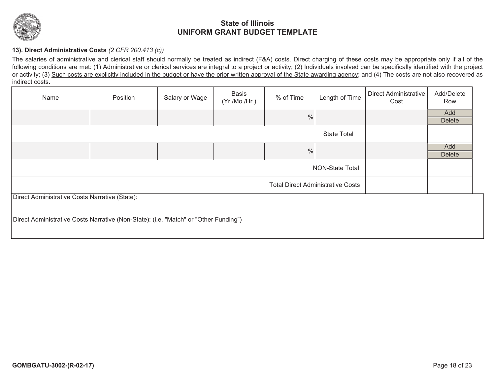

### **13). Direct Administrative Costs** *(2 CFR 200.413 (c))*

The salaries of administrative and clerical staff should normally be treated as indirect (F&A) costs. Direct charging of these costs may be appropriate only if all of the following conditions are met: (1) Administrative or clerical services are integral to a project or activity; (2) Individuals involved can be specifically identified with the project or activity; (3) Such costs are explicitly included in the budget or have the prior written approval of the State awarding agency; and (4) The costs are not also recovered as indirect costs.

| Name                                                                                 | Position | Salary or Wage | Basis<br>(Yr./Mo./Hr.) | % of Time                                | Length of Time         | Direct Administrative<br>Cost | Add/Delete<br>Row |
|--------------------------------------------------------------------------------------|----------|----------------|------------------------|------------------------------------------|------------------------|-------------------------------|-------------------|
|                                                                                      |          |                |                        | %                                        |                        |                               | Add               |
|                                                                                      |          |                |                        |                                          |                        |                               | <b>Delete</b>     |
|                                                                                      |          |                |                        |                                          | <b>State Total</b>     |                               |                   |
|                                                                                      |          |                |                        | $\frac{0}{0}$                            |                        |                               | Add               |
|                                                                                      |          |                |                        |                                          |                        |                               | <b>Delete</b>     |
|                                                                                      |          |                |                        |                                          | <b>NON-State Total</b> |                               |                   |
|                                                                                      |          |                |                        | <b>Total Direct Administrative Costs</b> |                        |                               |                   |
| Direct Administrative Costs Narrative (State):                                       |          |                |                        |                                          |                        |                               |                   |
| Direct Administrative Costs Narrative (Non-State): (i.e. "Match" or "Other Funding") |          |                |                        |                                          |                        |                               |                   |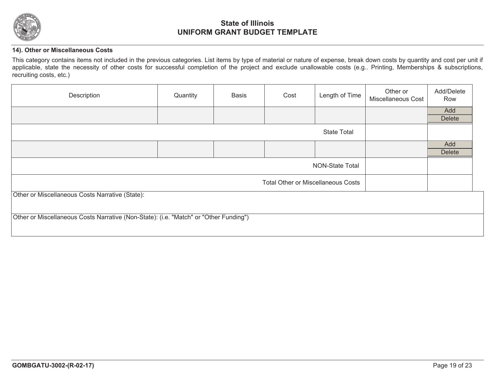

### **14). Other or Miscellaneous Costs**

This category contains items not included in the previous categories. List items by type of material or nature of expense, break down costs by quantity and cost per unit if applicable, state the necessity of other costs for successful completion of the project and exclude unallowable costs (e.g.. Printing, Memberships & subscriptions, recruiting costs, etc.)

| Description                                                                           | Quantity | <b>Basis</b> | Cost                                      | Length of Time         | Other or<br>Miscellaneous Cost | Add/Delete<br>Row    |
|---------------------------------------------------------------------------------------|----------|--------------|-------------------------------------------|------------------------|--------------------------------|----------------------|
|                                                                                       |          |              |                                           |                        |                                | Add<br>Delete        |
|                                                                                       |          |              |                                           | <b>State Total</b>     |                                |                      |
|                                                                                       |          |              |                                           |                        |                                | Add<br><b>Delete</b> |
|                                                                                       |          |              |                                           | <b>NON-State Total</b> |                                |                      |
|                                                                                       |          |              | <b>Total Other or Miscellaneous Costs</b> |                        |                                |                      |
| Other or Miscellaneous Costs Narrative (State):                                       |          |              |                                           |                        |                                |                      |
|                                                                                       |          |              |                                           |                        |                                |                      |
| Other or Miscellaneous Costs Narrative (Non-State): (i.e. "Match" or "Other Funding") |          |              |                                           |                        |                                |                      |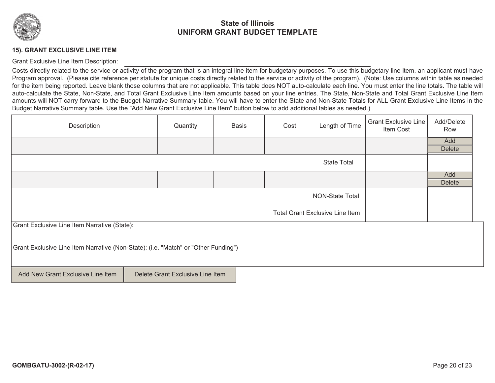

#### **15). GRANT EXCLUSIVE LINE ITEM**

#### Grant Exclusive Line Item Description:

Costs directly related to the service or activity of the program that is an integral line item for budgetary purposes. To use this budgetary line item, an applicant must have Program approval. (Please cite reference per statute for unique costs directly related to the service or activity of the program). (Note: Use columns within table as needed for the item being reported. Leave blank those columns that are not applicable. This table does NOT auto-calculate each line. You must enter the line totals. The table will auto-calculate the State, Non-State, and Total Grant Exclusive Line Item amounts based on your line entries. The State, Non-State and Total Grant Exclusive Line Item amounts will NOT carry forward to the Budget Narrative Summary table. You will have to enter the State and Non-State Totals for ALL Grant Exclusive Line Items in the Budget Narrative Summary table. Use the "Add New Grant Exclusive Line Item" button below to add additional tables as needed.)

| Description                                                                        | Quantity                         | <b>Basis</b> | Cost | Length of Time                         | <b>Grant Exclusive Line</b><br>Item Cost | Add/Delete<br>Row |
|------------------------------------------------------------------------------------|----------------------------------|--------------|------|----------------------------------------|------------------------------------------|-------------------|
|                                                                                    |                                  |              |      |                                        |                                          | Add               |
|                                                                                    |                                  |              |      |                                        |                                          | <b>Delete</b>     |
|                                                                                    |                                  |              |      | <b>State Total</b>                     |                                          |                   |
|                                                                                    |                                  |              |      |                                        |                                          | Add               |
|                                                                                    |                                  |              |      |                                        |                                          | <b>Delete</b>     |
| NON-State Total                                                                    |                                  |              |      |                                        |                                          |                   |
|                                                                                    |                                  |              |      | <b>Total Grant Exclusive Line Item</b> |                                          |                   |
| Grant Exclusive Line Item Narrative (State):                                       |                                  |              |      |                                        |                                          |                   |
|                                                                                    |                                  |              |      |                                        |                                          |                   |
| Grant Exclusive Line Item Narrative (Non-State): (i.e. "Match" or "Other Funding") |                                  |              |      |                                        |                                          |                   |
| Add New Grant Exclusive Line Item                                                  | Delete Grant Exclusive Line Item |              |      |                                        |                                          |                   |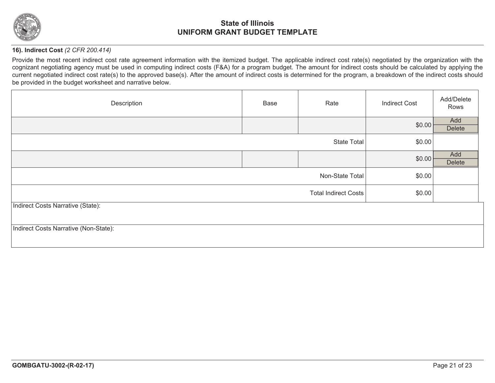

### **16). Indirect Cost** *(2 CFR 200.414)*

Provide the most recent indirect cost rate agreement information with the itemized budget. The applicable indirect cost rate(s) negotiated by the organization with the cognizant negotiating agency must be used in computing indirect costs (F&A) for a program budget. The amount for indirect costs should be calculated by applying the current negotiated indirect cost rate(s) to the approved base(s). After the amount of indirect costs is determined for the program, a breakdown of the indirect costs should be provided in the budget worksheet and narrative below.

| Description                           | Base | Rate                        | <b>Indirect Cost</b> | Add/Delete<br>Rows |
|---------------------------------------|------|-----------------------------|----------------------|--------------------|
|                                       |      |                             | \$0.00               | Add<br>Delete      |
|                                       |      | <b>State Total</b>          | \$0.00               |                    |
|                                       |      |                             | \$0.00               | Add<br>Delete      |
|                                       |      | Non-State Total             | \$0.00               |                    |
|                                       |      | <b>Total Indirect Costs</b> | \$0.00               |                    |
| Indirect Costs Narrative (State):     |      |                             |                      |                    |
| Indirect Costs Narrative (Non-State): |      |                             |                      |                    |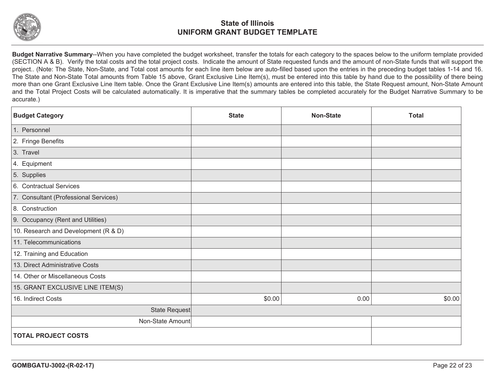

**Budget Narrative Summary**--When you have completed the budget worksheet, transfer the totals for each category to the spaces below to the uniform template provided (SECTION A & B). Verify the total costs and the total project costs. Indicate the amount of State requested funds and the amount of non-State funds that will support the project.. (Note: The State, Non-State, and Total cost amounts for each line item below are auto-filled based upon the entries in the preceding budget tables 1-14 and 16. The State and Non-State Total amounts from Table 15 above, Grant Exclusive Line Item(s), must be entered into this table by hand due to the possibility of there being more than one Grant Exclusive Line Item table. Once the Grant Exclusive Line Item(s) amounts are entered into this table, the State Request amount, Non-State Amount and the Total Project Costs will be calculated automatically. It is imperative that the summary tables be completed accurately for the Budget Narrative Summary to be accurate.)

| <b>Budget Category</b>                | <b>State</b> | <b>Non-State</b> | <b>Total</b> |
|---------------------------------------|--------------|------------------|--------------|
| 1. Personnel                          |              |                  |              |
| 2. Fringe Benefits                    |              |                  |              |
| 3. Travel                             |              |                  |              |
| 4. Equipment                          |              |                  |              |
| 5. Supplies                           |              |                  |              |
| 6. Contractual Services               |              |                  |              |
| 7. Consultant (Professional Services) |              |                  |              |
| 8. Construction                       |              |                  |              |
| 9. Occupancy (Rent and Utilities)     |              |                  |              |
| 10. Research and Development (R & D)  |              |                  |              |
| 11. Telecommunications                |              |                  |              |
| 12. Training and Education            |              |                  |              |
| 13. Direct Administrative Costs       |              |                  |              |
| 14. Other or Miscellaneous Costs      |              |                  |              |
| 15. GRANT EXCLUSIVE LINE ITEM(S)      |              |                  |              |
| 16. Indirect Costs                    | \$0.00       | 0.00             | \$0.00       |
| State Request                         |              |                  |              |
| Non-State Amount                      |              |                  |              |
| <b>TOTAL PROJECT COSTS</b>            |              |                  |              |